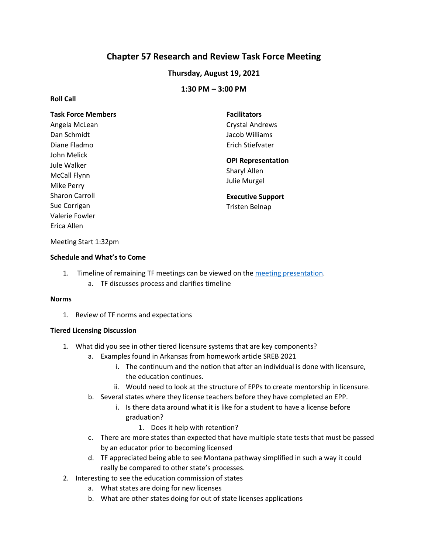# **Chapter 57 Research and Review Task Force Meeting**

# **Thursday, August 19, 2021**

# **1:30 PM – 3:00 PM**

### **Roll Call**

| <b>Task Force Members</b>                           | <b>Facilitators</b>                                       |
|-----------------------------------------------------|-----------------------------------------------------------|
| Angela McLean                                       | Crystal Andrews                                           |
| Dan Schmidt                                         | Jacob Williams                                            |
| Diane Fladmo                                        | Erich Stiefvater                                          |
| John Melick<br>Jule Walker<br><b>McCall Flynn</b>   | <b>OPI Representation</b><br>Sharyl Allen<br>Julie Murgel |
| Mike Perry<br><b>Sharon Carroll</b><br>Sue Corrigan | <b>Executive Support</b><br><b>Tristen Belnap</b>         |
| Valerie Fowler<br>Erica Allen                       |                                                           |

#### Meeting Start 1:32pm

### **Schedule and What's to Come**

- 1. Timeline of remaining TF meetings can be viewed on the [meeting presentation.](https://docs.google.com/presentation/d/1d7M_WHRtRSa7EvJF2d4zaTfpZ6Kyrqtj/edit?usp=sharing&ouid=103980653118195900680&rtpof=true&sd=true)
	- a. TF discusses process and clarifies timeline

#### **Norms**

1. Review of TF norms and expectations

### **Tiered Licensing Discussion**

- 1. What did you see in other tiered licensure systems that are key components?
	- a. Examples found in Arkansas from homework article SREB 2021
		- i. The continuum and the notion that after an individual is done with licensure, the education continues.
		- ii. Would need to look at the structure of EPPs to create mentorship in licensure.
	- b. Several states where they license teachers before they have completed an EPP.
		- i. Is there data around what it is like for a student to have a license before graduation?
			- 1. Does it help with retention?
	- c. There are more states than expected that have multiple state tests that must be passed by an educator prior to becoming licensed
	- d. TF appreciated being able to see Montana pathway simplified in such a way it could really be compared to other state's processes.
- 2. Interesting to see the education commission of states
	- a. What states are doing for new licenses
	- b. What are other states doing for out of state licenses applications